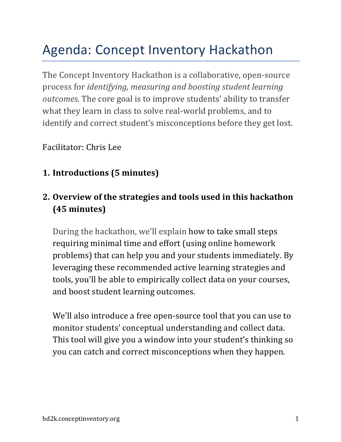# Agenda: Concept Inventory Hackathon

The Concept Inventory Hackathon is a collaborative, open-source process for *identifying, measuring and boosting student learning* outcomes. The core goal is to improve students' ability to transfer what they learn in class to solve real-world problems, and to identify and correct student's misconceptions before they get lost.

Facilitator: Chris Lee

#### **1. Introductions (5 minutes)**

#### **2. Overview of the strategies and tools used in this hackathon (45 minutes)**

During the hackathon, we'll explain how to take small steps requiring minimal time and effort (using online homework problems) that can help you and your students immediately. By leveraging these recommended active learning strategies and tools, you'll be able to empirically collect data on your courses, and boost student learning outcomes.

We'll also introduce a free open-source tool that you can use to monitor students' conceptual understanding and collect data. This tool will give you a window into your student's thinking so you can catch and correct misconceptions when they happen.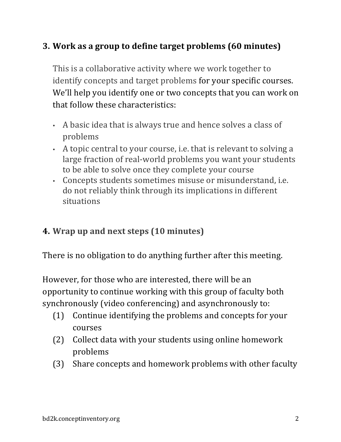### **3.** Work as a group to define target problems (60 minutes)

This is a collaborative activity where we work together to identify concepts and target problems for your specific courses. We'll help you identify one or two concepts that you can work on that follow these characteristics:

- A basic idea that is always true and hence solves a class of problems
- A topic central to your course, i.e. that is relevant to solving a large fraction of real-world problems you want your students to be able to solve once they complete your course
- Concepts students sometimes misuse or misunderstand, i.e. do not reliably think through its implications in different situations

## **4. Wrap up and next steps (10 minutes)**

There is no obligation to do anything further after this meeting.

However, for those who are interested, there will be an opportunity to continue working with this group of faculty both synchronously (video conferencing) and asynchronously to:

- $(1)$  Continue identifying the problems and concepts for your courses
- (2) Collect data with your students using online homework problems
- (3) Share concepts and homework problems with other faculty